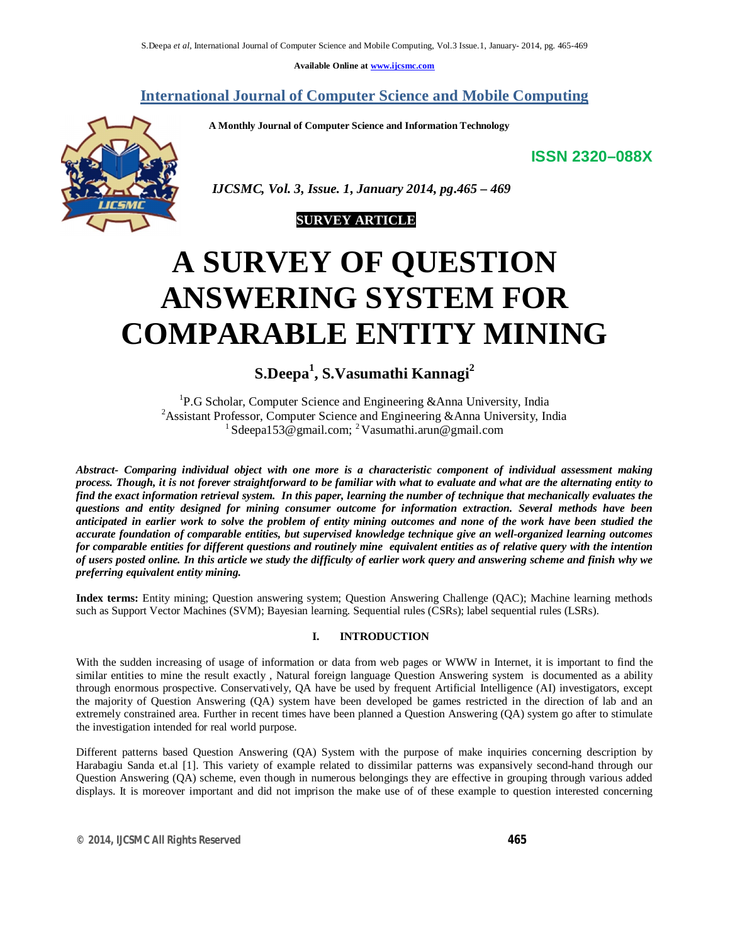**Available Online at www.ijcsmc.com**

## **International Journal of Computer Science and Mobile Computing**

 **A Monthly Journal of Computer Science and Information Technology**

**ISSN 2320–088X**



 *IJCSMC, Vol. 3, Issue. 1, January 2014, pg.465 – 469*



# **A SURVEY OF QUESTION ANSWERING SYSTEM FOR COMPARABLE ENTITY MINING**

**S.Deepa<sup>1</sup> , S.Vasumathi Kannagi<sup>2</sup>**

<sup>1</sup>P.G Scholar, Computer Science and Engineering &Anna University, India <sup>2</sup> Assistant Professor, Computer Science and Engineering &Anna University, India <sup>1</sup> Sdeepa153@gmail.com; <sup>2</sup> Vasumathi.arun@gmail.com

*Abstract- Comparing individual object with one more is a characteristic component of individual assessment making process. Though, it is not forever straightforward to be familiar with what to evaluate and what are the alternating entity to find the exact information retrieval system. In this paper, learning the number of technique that mechanically evaluates the questions and entity designed for mining consumer outcome for information extraction. Several methods have been anticipated in earlier work to solve the problem of entity mining outcomes and none of the work have been studied the accurate foundation of comparable entities, but supervised knowledge technique give an well-organized learning outcomes for comparable entities for different questions and routinely mine equivalent entities as of relative query with the intention of users posted online. In this article we study the difficulty of earlier work query and answering scheme and finish why we preferring equivalent entity mining.* 

**Index terms:** Entity mining; Question answering system; Question Answering Challenge (QAC); Machine learning methods such as Support Vector Machines (SVM); Bayesian learning. Sequential rules (CSRs); label sequential rules (LSRs).

## **I. INTRODUCTION**

With the sudden increasing of usage of information or data from web pages or WWW in Internet, it is important to find the similar entities to mine the result exactly , Natural foreign language Question Answering system is documented as a ability through enormous prospective. Conservatively, QA have be used by frequent Artificial Intelligence (AI) investigators, except the majority of Question Answering (QA) system have been developed be games restricted in the direction of lab and an extremely constrained area. Further in recent times have been planned a Question Answering (QA) system go after to stimulate the investigation intended for real world purpose.

Different patterns based Question Answering (QA) System with the purpose of make inquiries concerning description by Harabagiu Sanda et.al [1]. This variety of example related to dissimilar patterns was expansively second-hand through our Question Answering (QA) scheme, even though in numerous belongings they are effective in grouping through various added displays. It is moreover important and did not imprison the make use of of these example to question interested concerning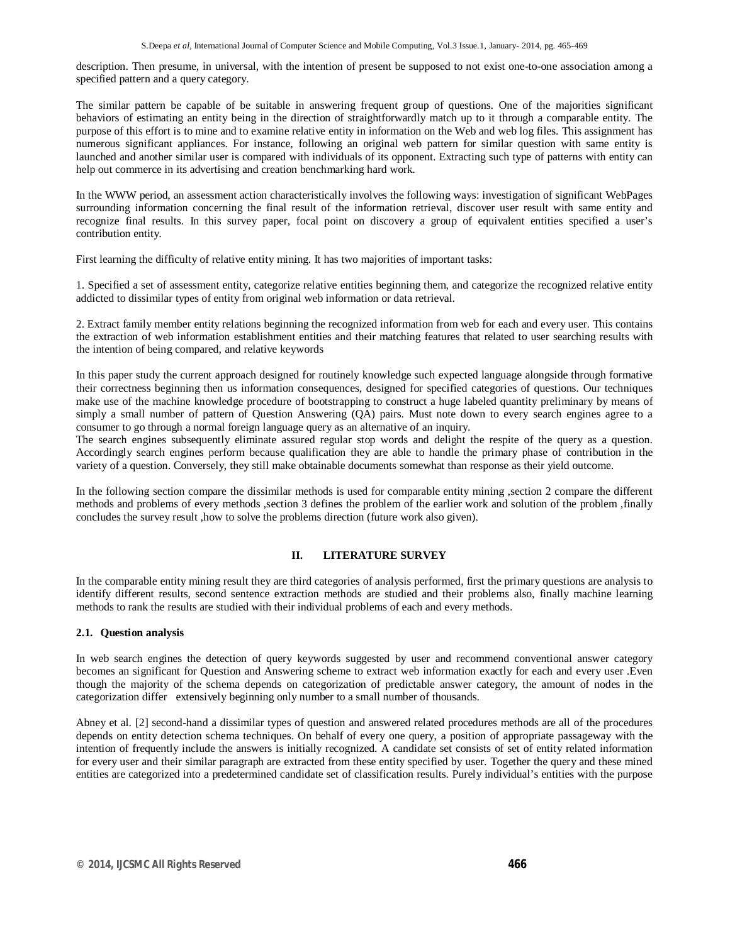description. Then presume, in universal, with the intention of present be supposed to not exist one-to-one association among a specified pattern and a query category.

The similar pattern be capable of be suitable in answering frequent group of questions. One of the majorities significant behaviors of estimating an entity being in the direction of straightforwardly match up to it through a comparable entity. The purpose of this effort is to mine and to examine relative entity in information on the Web and web log files. This assignment has numerous significant appliances. For instance, following an original web pattern for similar question with same entity is launched and another similar user is compared with individuals of its opponent. Extracting such type of patterns with entity can help out commerce in its advertising and creation benchmarking hard work.

In the WWW period, an assessment action characteristically involves the following ways: investigation of significant WebPages surrounding information concerning the final result of the information retrieval, discover user result with same entity and recognize final results. In this survey paper, focal point on discovery a group of equivalent entities specified a user's contribution entity.

First learning the difficulty of relative entity mining. It has two majorities of important tasks:

1. Specified a set of assessment entity, categorize relative entities beginning them, and categorize the recognized relative entity addicted to dissimilar types of entity from original web information or data retrieval.

2. Extract family member entity relations beginning the recognized information from web for each and every user. This contains the extraction of web information establishment entities and their matching features that related to user searching results with the intention of being compared, and relative keywords

In this paper study the current approach designed for routinely knowledge such expected language alongside through formative their correctness beginning then us information consequences, designed for specified categories of questions. Our techniques make use of the machine knowledge procedure of bootstrapping to construct a huge labeled quantity preliminary by means of simply a small number of pattern of Question Answering (QA) pairs. Must note down to every search engines agree to a consumer to go through a normal foreign language query as an alternative of an inquiry.

The search engines subsequently eliminate assured regular stop words and delight the respite of the query as a question. Accordingly search engines perform because qualification they are able to handle the primary phase of contribution in the variety of a question. Conversely, they still make obtainable documents somewhat than response as their yield outcome.

In the following section compare the dissimilar methods is used for comparable entity mining ,section 2 compare the different methods and problems of every methods ,section 3 defines the problem of the earlier work and solution of the problem ,finally concludes the survey result ,how to solve the problems direction (future work also given).

## **II. LITERATURE SURVEY**

In the comparable entity mining result they are third categories of analysis performed, first the primary questions are analysis to identify different results, second sentence extraction methods are studied and their problems also, finally machine learning methods to rank the results are studied with their individual problems of each and every methods.

## **2.1. Question analysis**

In web search engines the detection of query keywords suggested by user and recommend conventional answer category becomes an significant for Question and Answering scheme to extract web information exactly for each and every user .Even though the majority of the schema depends on categorization of predictable answer category, the amount of nodes in the categorization differ extensively beginning only number to a small number of thousands.

Abney et al. [2] second-hand a dissimilar types of question and answered related procedures methods are all of the procedures depends on entity detection schema techniques. On behalf of every one query, a position of appropriate passageway with the intention of frequently include the answers is initially recognized. A candidate set consists of set of entity related information for every user and their similar paragraph are extracted from these entity specified by user. Together the query and these mined entities are categorized into a predetermined candidate set of classification results. Purely individual's entities with the purpose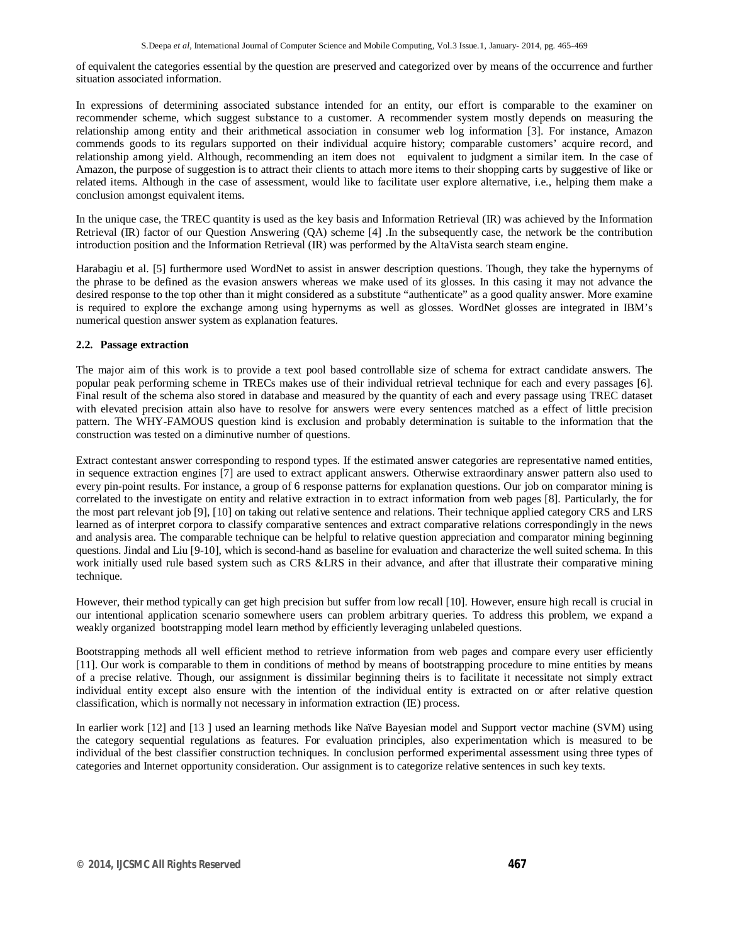of equivalent the categories essential by the question are preserved and categorized over by means of the occurrence and further situation associated information.

In expressions of determining associated substance intended for an entity, our effort is comparable to the examiner on recommender scheme, which suggest substance to a customer. A recommender system mostly depends on measuring the relationship among entity and their arithmetical association in consumer web log information [3]. For instance, Amazon commends goods to its regulars supported on their individual acquire history; comparable customers' acquire record, and relationship among yield. Although, recommending an item does not equivalent to judgment a similar item. In the case of Amazon, the purpose of suggestion is to attract their clients to attach more items to their shopping carts by suggestive of like or related items. Although in the case of assessment, would like to facilitate user explore alternative, i.e., helping them make a conclusion amongst equivalent items.

In the unique case, the TREC quantity is used as the key basis and Information Retrieval (IR) was achieved by the Information Retrieval (IR) factor of our Question Answering (QA) scheme [4] .In the subsequently case, the network be the contribution introduction position and the Information Retrieval (IR) was performed by the AltaVista search steam engine.

Harabagiu et al. [5] furthermore used WordNet to assist in answer description questions. Though, they take the hypernyms of the phrase to be defined as the evasion answers whereas we make used of its glosses. In this casing it may not advance the desired response to the top other than it might considered as a substitute "authenticate" as a good quality answer. More examine is required to explore the exchange among using hypernyms as well as glosses. WordNet glosses are integrated in IBM's numerical question answer system as explanation features.

### **2.2. Passage extraction**

The major aim of this work is to provide a text pool based controllable size of schema for extract candidate answers. The popular peak performing scheme in TRECs makes use of their individual retrieval technique for each and every passages [6]. Final result of the schema also stored in database and measured by the quantity of each and every passage using TREC dataset with elevated precision attain also have to resolve for answers were every sentences matched as a effect of little precision pattern. The WHY-FAMOUS question kind is exclusion and probably determination is suitable to the information that the construction was tested on a diminutive number of questions.

Extract contestant answer corresponding to respond types. If the estimated answer categories are representative named entities, in sequence extraction engines [7] are used to extract applicant answers. Otherwise extraordinary answer pattern also used to every pin-point results. For instance, a group of 6 response patterns for explanation questions. Our job on comparator mining is correlated to the investigate on entity and relative extraction in to extract information from web pages [8]. Particularly, the for the most part relevant job [9], [10] on taking out relative sentence and relations. Their technique applied category CRS and LRS learned as of interpret corpora to classify comparative sentences and extract comparative relations correspondingly in the news and analysis area. The comparable technique can be helpful to relative question appreciation and comparator mining beginning questions. Jindal and Liu [9-10], which is second-hand as baseline for evaluation and characterize the well suited schema. In this work initially used rule based system such as CRS &LRS in their advance, and after that illustrate their comparative mining technique.

However, their method typically can get high precision but suffer from low recall [10]. However, ensure high recall is crucial in our intentional application scenario somewhere users can problem arbitrary queries. To address this problem, we expand a weakly organized bootstrapping model learn method by efficiently leveraging unlabeled questions.

Bootstrapping methods all well efficient method to retrieve information from web pages and compare every user efficiently [11]. Our work is comparable to them in conditions of method by means of bootstrapping procedure to mine entities by means of a precise relative. Though, our assignment is dissimilar beginning theirs is to facilitate it necessitate not simply extract individual entity except also ensure with the intention of the individual entity is extracted on or after relative question classification, which is normally not necessary in information extraction (IE) process.

In earlier work [12] and [13 ] used an learning methods like Naïve Bayesian model and Support vector machine (SVM) using the category sequential regulations as features. For evaluation principles, also experimentation which is measured to be individual of the best classifier construction techniques. In conclusion performed experimental assessment using three types of categories and Internet opportunity consideration. Our assignment is to categorize relative sentences in such key texts.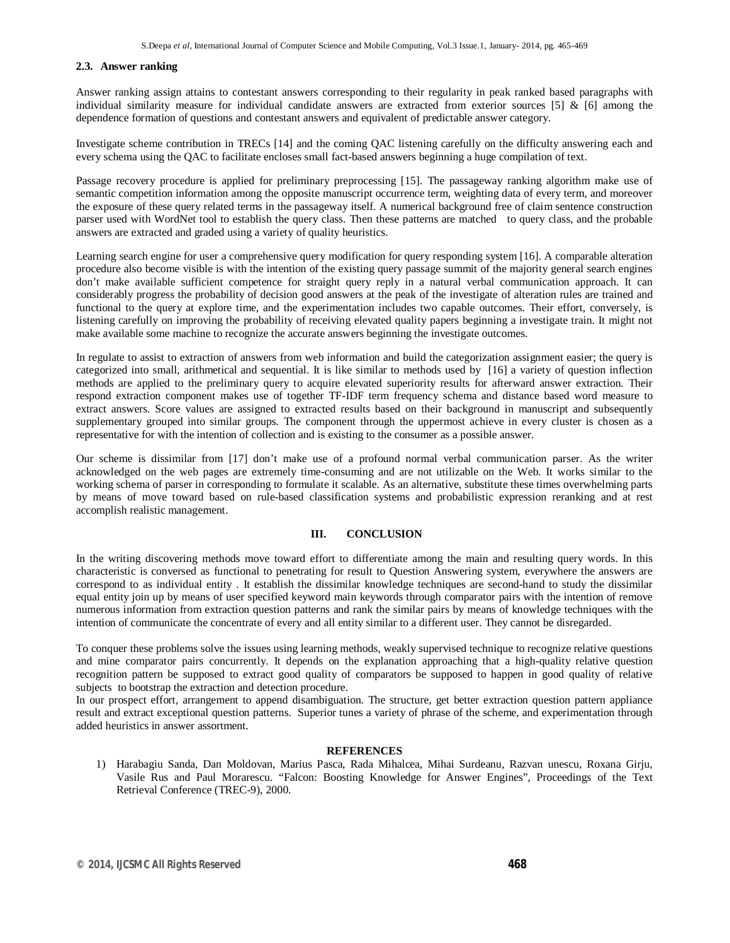#### **2.3. Answer ranking**

Answer ranking assign attains to contestant answers corresponding to their regularity in peak ranked based paragraphs with individual similarity measure for individual candidate answers are extracted from exterior sources  $[5]$  &  $[6]$  among the dependence formation of questions and contestant answers and equivalent of predictable answer category.

Investigate scheme contribution in TRECs [14] and the coming QAC listening carefully on the difficulty answering each and every schema using the QAC to facilitate encloses small fact-based answers beginning a huge compilation of text.

Passage recovery procedure is applied for preliminary preprocessing [15]. The passageway ranking algorithm make use of semantic competition information among the opposite manuscript occurrence term, weighting data of every term, and moreover the exposure of these query related terms in the passageway itself. A numerical background free of claim sentence construction parser used with WordNet tool to establish the query class. Then these patterns are matched to query class, and the probable answers are extracted and graded using a variety of quality heuristics.

Learning search engine for user a comprehensive query modification for query responding system [16]. A comparable alteration procedure also become visible is with the intention of the existing query passage summit of the majority general search engines don't make available sufficient competence for straight query reply in a natural verbal communication approach. It can considerably progress the probability of decision good answers at the peak of the investigate of alteration rules are trained and functional to the query at explore time, and the experimentation includes two capable outcomes. Their effort, conversely, is listening carefully on improving the probability of receiving elevated quality papers beginning a investigate train. It might not make available some machine to recognize the accurate answers beginning the investigate outcomes.

In regulate to assist to extraction of answers from web information and build the categorization assignment easier; the query is categorized into small, arithmetical and sequential. It is like similar to methods used by [16] a variety of question inflection methods are applied to the preliminary query to acquire elevated superiority results for afterward answer extraction. Their respond extraction component makes use of together TF-IDF term frequency schema and distance based word measure to extract answers. Score values are assigned to extracted results based on their background in manuscript and subsequently supplementary grouped into similar groups. The component through the uppermost achieve in every cluster is chosen as a representative for with the intention of collection and is existing to the consumer as a possible answer.

Our scheme is dissimilar from [17] don't make use of a profound normal verbal communication parser. As the writer acknowledged on the web pages are extremely time-consuming and are not utilizable on the Web. It works similar to the working schema of parser in corresponding to formulate it scalable. As an alternative, substitute these times overwhelming parts by means of move toward based on rule-based classification systems and probabilistic expression reranking and at rest accomplish realistic management.

### **III. CONCLUSION**

In the writing discovering methods move toward effort to differentiate among the main and resulting query words. In this characteristic is conversed as functional to penetrating for result to Question Answering system, everywhere the answers are correspond to as individual entity . It establish the dissimilar knowledge techniques are second-hand to study the dissimilar equal entity join up by means of user specified keyword main keywords through comparator pairs with the intention of remove numerous information from extraction question patterns and rank the similar pairs by means of knowledge techniques with the intention of communicate the concentrate of every and all entity similar to a different user. They cannot be disregarded.

To conquer these problems solve the issues using learning methods, weakly supervised technique to recognize relative questions and mine comparator pairs concurrently. It depends on the explanation approaching that a high-quality relative question recognition pattern be supposed to extract good quality of comparators be supposed to happen in good quality of relative subjects to bootstrap the extraction and detection procedure.

In our prospect effort, arrangement to append disambiguation. The structure, get better extraction question pattern appliance result and extract exceptional question patterns. Superior tunes a variety of phrase of the scheme, and experimentation through added heuristics in answer assortment.

#### **REFERENCES**

1) Harabagiu Sanda, Dan Moldovan, Marius Pasca, Rada Mihalcea, Mihai Surdeanu, Razvan unescu, Roxana Girju, Vasile Rus and Paul Morarescu. "Falcon: Boosting Knowledge for Answer Engines", Proceedings of the Text Retrieval Conference (TREC-9), 2000.